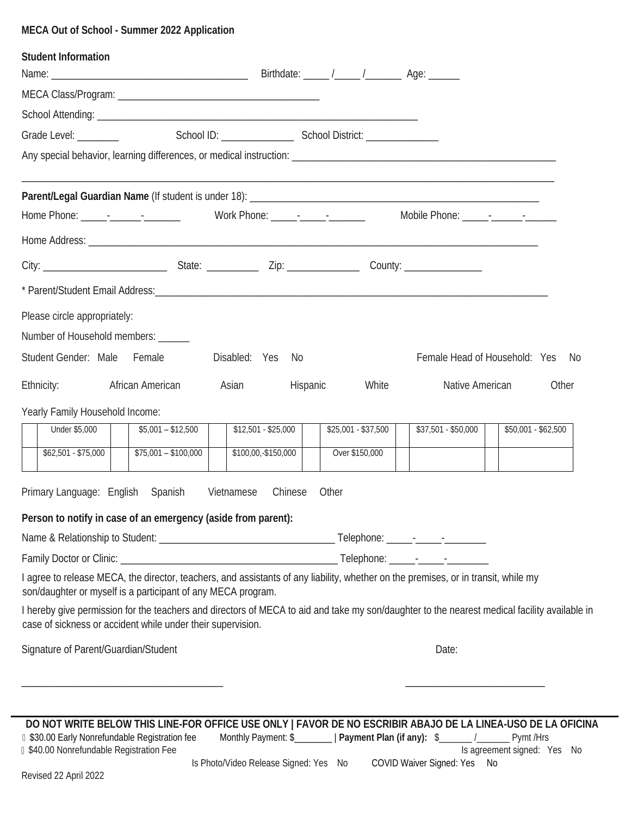# **MECA Out of School - Summer 2022 Application**

| Student Information                                                                                                                                                                                |                      |                                                                             |                     |                     |                                                                                                                                                         |
|----------------------------------------------------------------------------------------------------------------------------------------------------------------------------------------------------|----------------------|-----------------------------------------------------------------------------|---------------------|---------------------|---------------------------------------------------------------------------------------------------------------------------------------------------------|
|                                                                                                                                                                                                    |                      |                                                                             |                     |                     |                                                                                                                                                         |
|                                                                                                                                                                                                    |                      |                                                                             |                     |                     |                                                                                                                                                         |
| Grade Level: <u>_______________</u>                                                                                                                                                                |                      | School ID: School District: School District:                                |                     |                     |                                                                                                                                                         |
|                                                                                                                                                                                                    |                      |                                                                             |                     |                     |                                                                                                                                                         |
| Parent/Legal Guardian Name (If student is under 18): [18] [2010] [2010] [2010] [2010] [2010] [2010] [2010] [20                                                                                     |                      |                                                                             |                     |                     |                                                                                                                                                         |
|                                                                                                                                                                                                    |                      |                                                                             |                     |                     |                                                                                                                                                         |
| City: _______________________________State: _______________Zip: ___________________County: ___________________                                                                                     |                      |                                                                             |                     |                     |                                                                                                                                                         |
|                                                                                                                                                                                                    |                      |                                                                             |                     |                     |                                                                                                                                                         |
| Please circle appropriately:<br>Number of Household members: ______                                                                                                                                |                      |                                                                             |                     |                     |                                                                                                                                                         |
| Student Gender: Male                                                                                                                                                                               | Female               | Disabled: Yes<br>- No                                                       |                     |                     | Female Head of Household: Yes No                                                                                                                        |
| Ethnicity:                                                                                                                                                                                         | African American     | Asian<br>Hispanic                                                           | White               | Native American     | Other                                                                                                                                                   |
| Yearly Family Household Income:                                                                                                                                                                    |                      |                                                                             |                     |                     |                                                                                                                                                         |
| Under \$5,000                                                                                                                                                                                      | $$5,001 - $12,500$   | $$12,501 - $25,000$                                                         | $$25,001 - $37,500$ | \$37,501 - \$50,000 | $$50,001 - $62,500$                                                                                                                                     |
| $$62,501 - $75,000$                                                                                                                                                                                | $$75,001 - $100,000$ | \$100,00,-\$150,000                                                         | Over \$150,000      |                     |                                                                                                                                                         |
| Primary Language: English Spanish                                                                                                                                                                  |                      | Vietnamese<br>Chinese                                                       | Other               |                     |                                                                                                                                                         |
| Person to notify in case of an emergency (aside from parent):                                                                                                                                      |                      |                                                                             |                     |                     |                                                                                                                                                         |
|                                                                                                                                                                                                    |                      |                                                                             |                     |                     |                                                                                                                                                         |
|                                                                                                                                                                                                    |                      |                                                                             |                     |                     |                                                                                                                                                         |
| I agree to release MECA, the director, teachers, and assistants of any liability, whether on the premises, or in transit, while my<br>son/daughter or myself is a participant of any MECA program. |                      |                                                                             |                     |                     |                                                                                                                                                         |
| case of sickness or accident while under their supervision.                                                                                                                                        |                      |                                                                             |                     |                     | I hereby give permission for the teachers and directors of MECA to aid and take my son/daughter to the nearest medical facility available in            |
| Signature of Parent/Guardian/Student                                                                                                                                                               |                      |                                                                             |                     | Date:               |                                                                                                                                                         |
|                                                                                                                                                                                                    |                      |                                                                             |                     |                     |                                                                                                                                                         |
|                                                                                                                                                                                                    |                      |                                                                             |                     |                     |                                                                                                                                                         |
| <b>1 \$30.00 Early Nonrefundable Registration fee</b><br><b>1 \$40.00 Nonrefundable Registration Fee</b>                                                                                           |                      | Monthly Payment: \$___________   Payment Plan (if any): \$_______ /________ |                     |                     | DO NOT WRITE BELOW THIS LINE-FOR OFFICE USE ONLY   FAVOR DE NO ESCRIBIR ABAJO DE LA LINEA-USO DE LA OFICINA<br>Pymt /Hrs<br>Is agreement signed: Yes No |

Is Photo/Video Release Signed: Yes No COVID Waiver Signed: Yes No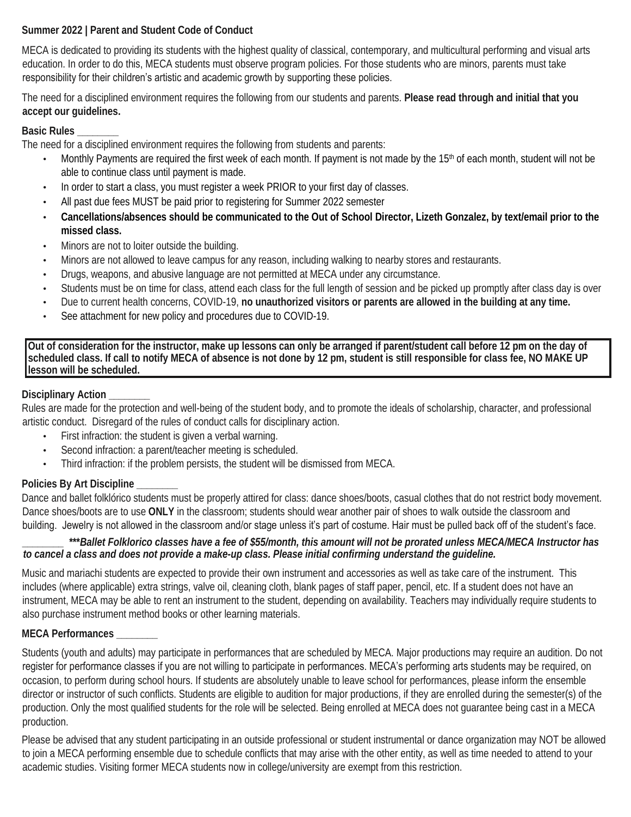### **Summer 2022 | Parent and Student Code of Conduct**

MECA is dedicated to providing its students with the highest quality of classical, contemporary, and multicultural performing and visual arts education. In order to do this, MECA students must observe program policies. For those students who are minors, parents must take responsibility for their children's artistic and academic growth by supporting these policies.

The need for a disciplined environment requires the following from our students and parents. **Please read through and initial that you accept our guidelines.**

### **Basic Rules \_\_\_\_\_\_\_\_**

The need for a disciplined environment requires the following from students and parents:

- Monthly Payments are required the first week of each month. If payment is not made by the 15<sup>th</sup> of each month, student will not be able to continue class until payment is made.
- In order to start a class, you must register a week PRIOR to your first day of classes.
- All past due fees MUST be paid prior to registering for Summer 2022 semester
- **Cancellations/absences should be communicated to the Out of School Director, Lizeth Gonzalez, by text/email prior to the missed class.**
- Minors are not to loiter outside the building.
- Minors are not allowed to leave campus for any reason, including walking to nearby stores and restaurants.
- Drugs, weapons, and abusive language are not permitted at MECA under any circumstance.
- Students must be on time for class, attend each class for the full length of session and be picked up promptly after class day is over
- Due to current health concerns, COVID-19, **no unauthorized visitors or parents are allowed in the building at any time.**
- See attachment for new policy and procedures due to COVID-19.

**Out of consideration for the instructor, make up lessons can only be arranged if parent/student call before 12 pm on the day of scheduled class. If call to notify MECA of absence is not done by 12 pm, student is still responsible for class fee, NO MAKE UP lesson will be scheduled.**

## **Disciplinary Action \_\_\_\_\_\_\_\_**

Rules are made for the protection and well-being of the student body, and to promote the ideals of scholarship, character, and professional artistic conduct. Disregard of the rules of conduct calls for disciplinary action.

- First infraction: the student is given a verbal warning.
- Second infraction: a parent/teacher meeting is scheduled.
- Third infraction: if the problem persists, the student will be dismissed from MECA.

# **Policies By Art Discipline \_\_\_\_\_\_\_\_**

Dance and ballet folklórico students must be properly attired for class: dance shoes/boots, casual clothes that do not restrict body movement. Dance shoes/boots are to use **ONLY** in the classroom; students should wear another pair of shoes to walk outside the classroom and

# building. Jewelry is not allowed in the classroom and/or stage unless it's part of costume. Hair must be pulled back off of the student's face.

*\_\_\_\_\_\_\_\_* **\*\*\****Ballet Folklorico classes have a fee of \$55/month, this amount will not be prorated unless MECA/MECA Instructor has to cancel a class and does not provide a make-up class. Please initial confirming understand the guideline.* 

Music and mariachi students are expected to provide their own instrument and accessories as well as take care of the instrument. This includes (where applicable) extra strings, valve oil, cleaning cloth, blank pages of staff paper, pencil, etc. If a student does not have an instrument, MECA may be able to rent an instrument to the student, depending on availability. Teachers may individually require students to also purchase instrument method books or other learning materials.

## **MECA Performances \_\_\_\_\_\_\_\_**

Students (youth and adults) may participate in performances that are scheduled by MECA. Major productions may require an audition. Do not register for performance classes if you are not willing to participate in performances. MECA's performing arts students may be required, on occasion, to perform during school hours. If students are absolutely unable to leave school for performances, please inform the ensemble director or instructor of such conflicts. Students are eligible to audition for major productions, if they are enrolled during the semester(s) of the production. Only the most qualified students for the role will be selected. Being enrolled at MECA does not guarantee being cast in a MECA production.

Please be advised that any student participating in an outside professional or student instrumental or dance organization may NOT be allowed to join a MECA performing ensemble due to schedule conflicts that may arise with the other entity, as well as time needed to attend to your academic studies. Visiting former MECA students now in college/university are exempt from this restriction.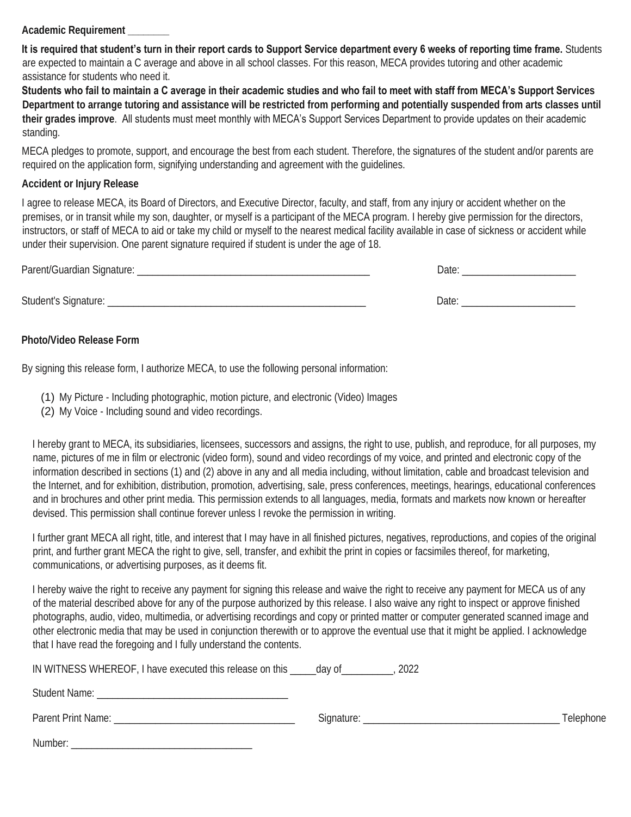**Academic Requirement \_\_\_\_\_\_\_\_** 

**It is required that student's turn in their report cards to Support Service department every 6 weeks of reporting time frame.** Students are expected to maintain a C average and above in all school classes. For this reason, MECA provides tutoring and other academic assistance for students who need it.

**Students who fail to maintain a C average in their academic studies and who fail to meet with staff from MECA's Support Services Department to arrange tutoring and assistance will be restricted from performing and potentially suspended from arts classes until their grades improve**. All students must meet monthly with MECA's Support Services Department to provide updates on their academic standing.

MECA pledges to promote, support, and encourage the best from each student. Therefore, the signatures of the student and/or parents are required on the application form, signifying understanding and agreement with the guidelines.

### **Accident or Injury Release**

I agree to release MECA, its Board of Directors, and Executive Director, faculty, and staff, from any injury or accident whether on the premises, or in transit while my son, daughter, or myself is a participant of the MECA program. I hereby give permission for the directors, instructors, or staff of MECA to aid or take my child or myself to the nearest medical facility available in case of sickness or accident while under their supervision. One parent signature required if student is under the age of 18.

| Parent/Guardian Signature: | Jate  |  |  |
|----------------------------|-------|--|--|
|                            |       |  |  |
| Student's Signature:       | Date: |  |  |

**Photo/Video Release Form**

By signing this release form, I authorize MECA, to use the following personal information:

(1) My Picture - Including photographic, motion picture, and electronic (Video) Images

(2) My Voice - Including sound and video recordings.

I hereby grant to MECA, its subsidiaries, licensees, successors and assigns, the right to use, publish, and reproduce, for all purposes, my name, pictures of me in film or electronic (video form), sound and video recordings of my voice, and printed and electronic copy of the information described in sections (1) and (2) above in any and all media including, without limitation, cable and broadcast television and the Internet, and for exhibition, distribution, promotion, advertising, sale, press conferences, meetings, hearings, educational conferences and in brochures and other print media. This permission extends to all languages, media, formats and markets now known or hereafter devised. This permission shall continue forever unless I revoke the permission in writing.

I further grant MECA all right, title, and interest that I may have in all finished pictures, negatives, reproductions, and copies of the original print, and further grant MECA the right to give, sell, transfer, and exhibit the print in copies or facsimiles thereof, for marketing, communications, or advertising purposes, as it deems fit.

I hereby waive the right to receive any payment for signing this release and waive the right to receive any payment for MECA us of any of the material described above for any of the purpose authorized by this release. I also waive any right to inspect or approve finished photographs, audio, video, multimedia, or advertising recordings and copy or printed matter or computer generated scanned image and other electronic media that may be used in conjunction therewith or to approve the eventual use that it might be applied. I acknowledge that I have read the foregoing and I fully understand the contents.

| IN WITNESS WHEREOF, I have executed this release on this ______ day of                                                                                                                                                        | 2022             |           |
|-------------------------------------------------------------------------------------------------------------------------------------------------------------------------------------------------------------------------------|------------------|-----------|
| Student Name: The Contract of the Contract of the Contract of the Contract of the Contract of the Contract of the Contract of the Contract of the Contract of the Contract of the Contract of the Contract of the Contract of |                  |           |
| Parent Print Name:                                                                                                                                                                                                            | Signature: _____ | Telephone |
| Number:                                                                                                                                                                                                                       |                  |           |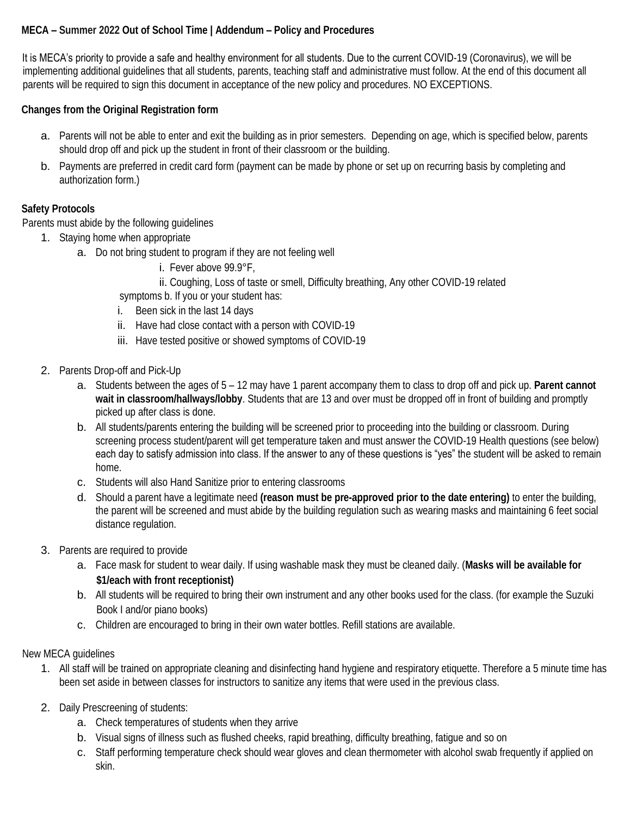It is MECA's priority to provide a safe and healthy environment for all students. Due to the current COVID-19 (Coronavirus), we will be implementing additional guidelines that all students, parents, teaching staff and administrative must follow. At the end of this document all parents will be required to sign this document in acceptance of the new policy and procedures. NO EXCEPTIONS.

**Changes from the Original Registration form** 

- a. Parents will not be able to enter and exit the building as in prior semesters. Depending on age, which is specified below, parents should drop off and pick up the student in front of their classroom or the building.
- b. Payments are preferred in credit card form (payment can be made by phone or set up on recurring basis by completing and authorization form.)

### **Safety Protocols**

Parents must abide by the following guidelines

- 1. Staying home when appropriate
	- a. Do not bring student to program if they are not feeling well
		- i. Fever above 99.9°F,
		- ii. Coughing, Loss of taste or smell, Difficulty breathing, Any other COVID-19 related

symptoms b. If you or your student has:

- i. Been sick in the last 14 days
- ii. Have had close contact with a person with COVID-19
- iii. Have tested positive or showed symptoms of COVID-19
- 2. Parents Drop-off and Pick-Up
	- a. Students between the ages of 5 12 may have 1 parent accompany them to class to drop off and pick up. **Parent cannot wait in classroom/hallways/lobby**. Students that are 13 and over must be dropped off in front of building and promptly picked up after class is done.
	- b. All students/parents entering the building will be screened prior to proceeding into the building or classroom. During screening process student/parent will get temperature taken and must answer the COVID-19 Health questions (see below) each day to satisfy admission into class. If the answer to any of these questions is "yes" the student will be asked to remain home.
	- c. Students will also Hand Sanitize prior to entering classrooms
	- d. Should a parent have a legitimate need **(reason must be pre-approved prior to the date entering)** to enter the building, the parent will be screened and must abide by the building regulation such as wearing masks and maintaining 6 feet social distance regulation.
- 3. Parents are required to provide
	- a. Face mask for student to wear daily. If using washable mask they must be cleaned daily. (**Masks will be available for \$1/each with front receptionist)**
	- b. All students will be required to bring their own instrument and any other books used for the class. (for example the Suzuki Book I and/or piano books)
	- c. Children are encouraged to bring in their own water bottles. Refill stations are available.

#### New MECA guidelines

- 1. All staff will be trained on appropriate cleaning and disinfecting hand hygiene and respiratory etiquette. Therefore a 5 minute time has been set aside in between classes for instructors to sanitize any items that were used in the previous class.
- 2. Daily Prescreening of students:
	- a. Check temperatures of students when they arrive
	- b. Visual signs of illness such as flushed cheeks, rapid breathing, difficulty breathing, fatigue and so on
	- c. Staff performing temperature check should wear gloves and clean thermometer with alcohol swab frequently if applied on skin.